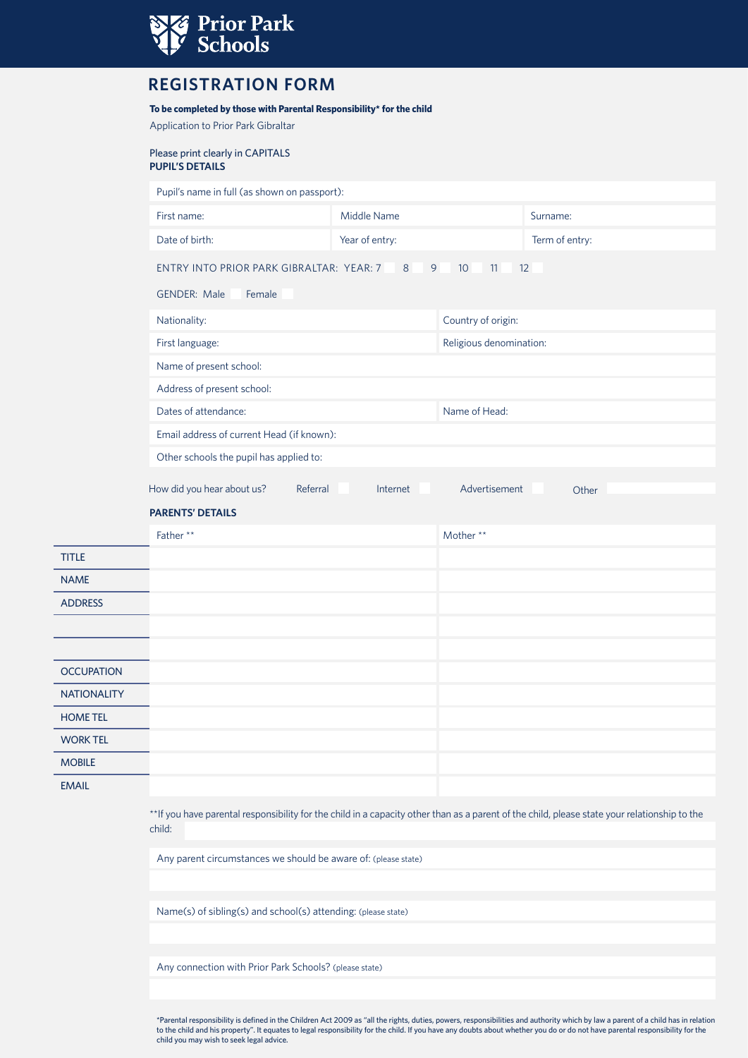

# **REGISTRATION FORM**

# **To be completed by those with Parental Responsibility\* for the child**

Application to Prior Park Gibraltar

#### Please print clearly in CAPITALS **PUPIL'S DETAILS**

|                            | Pupil's name in full (as shown on passport):                                         |                |                         |                |  |  |  |
|----------------------------|--------------------------------------------------------------------------------------|----------------|-------------------------|----------------|--|--|--|
|                            | First name:                                                                          | Middle Name    |                         | Surname:       |  |  |  |
|                            | Date of birth:                                                                       | Year of entry: |                         | Term of entry: |  |  |  |
|                            | 9<br>12<br>ENTRY INTO PRIOR PARK GIBRALTAR: YEAR: 7<br>8<br>10<br>11                 |                |                         |                |  |  |  |
|                            | <b>GENDER: Male</b><br>Female                                                        |                |                         |                |  |  |  |
|                            | Nationality:                                                                         |                | Country of origin:      |                |  |  |  |
|                            | First language:                                                                      |                | Religious denomination: |                |  |  |  |
|                            | Name of present school:                                                              |                |                         |                |  |  |  |
| Address of present school: |                                                                                      |                |                         |                |  |  |  |
|                            | Dates of attendance:<br>Name of Head:                                                |                |                         |                |  |  |  |
|                            | Email address of current Head (if known):<br>Other schools the pupil has applied to: |                |                         |                |  |  |  |
|                            |                                                                                      |                |                         |                |  |  |  |
|                            | How did you hear about us?<br>Referral                                               | Internet       | Advertisement           | Other          |  |  |  |
|                            | <b>PARENTS' DETAILS</b>                                                              |                |                         |                |  |  |  |
|                            | Father**                                                                             |                | Mother **               |                |  |  |  |
| <b>TITLE</b>               |                                                                                      |                |                         |                |  |  |  |
| <b>NAME</b>                |                                                                                      |                |                         |                |  |  |  |
| <b>ADDRESS</b>             |                                                                                      |                |                         |                |  |  |  |
|                            |                                                                                      |                |                         |                |  |  |  |
|                            |                                                                                      |                |                         |                |  |  |  |
| <b>OCCUPATION</b>          |                                                                                      |                |                         |                |  |  |  |
| <b>NATIONALITY</b>         |                                                                                      |                |                         |                |  |  |  |
| <b>HOME TEL</b>            |                                                                                      |                |                         |                |  |  |  |
| <b>WORK TEL</b>            |                                                                                      |                |                         |                |  |  |  |
| <b>MOBILE</b>              |                                                                                      |                |                         |                |  |  |  |
| <b>EMAIL</b>               |                                                                                      |                |                         |                |  |  |  |

\*\*If you have parental responsibility for the child in a capacity other than as a parent of the child, please state your relationship to the child:

Any parent circumstances we should be aware of: (please state)

Name(s) of sibling(s) and school(s) attending: (please state)

Any connection with Prior Park Schools? (please state)

\*Parental responsibility is defined in the Children Act 2009 as "all the rights, duties, powers, responsibilities and authority which by law a parent of a child has in relation to the child and his property". It equates to legal responsibility for the child. If you have any doubts about whether you do or do not have parental responsibility for the child you may wish to seek legal advice.